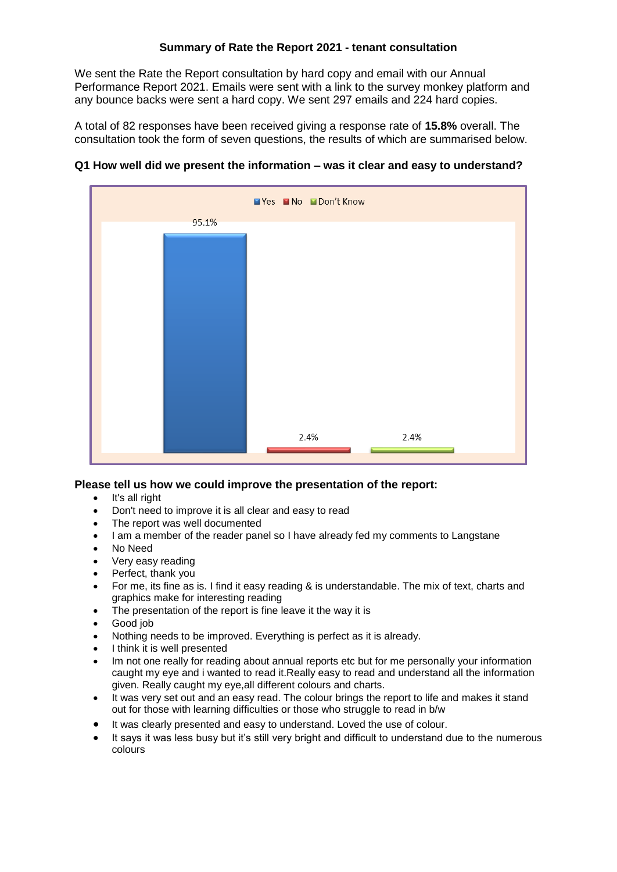# **Summary of Rate the Report 2021 - tenant consultation**

We sent the Rate the Report consultation by hard copy and email with our Annual Performance Report 2021. Emails were sent with a link to the survey monkey platform and any bounce backs were sent a hard copy. We sent 297 emails and 224 hard copies.

A total of 82 responses have been received giving a response rate of **15.8%** overall. The consultation took the form of seven questions, the results of which are summarised below.



# **Q1 How well did we present the information – was it clear and easy to understand?**

# **Please tell us how we could improve the presentation of the report:**

- It's all right
- Don't need to improve it is all clear and easy to read
- The report was well documented
- I am a member of the reader panel so I have already fed my comments to Langstane
- No Need
- Very easy reading
- Perfect, thank you
- For me, its fine as is. I find it easy reading & is understandable. The mix of text, charts and graphics make for interesting reading
- The presentation of the report is fine leave it the way it is
- Good job
- Nothing needs to be improved. Everything is perfect as it is already.
- I think it is well presented
- Im not one really for reading about annual reports etc but for me personally your information caught my eye and i wanted to read it.Really easy to read and understand all the information given. Really caught my eye,all different colours and charts.
- It was very set out and an easy read. The colour brings the report to life and makes it stand out for those with learning difficulties or those who struggle to read in b/w
- It was clearly presented and easy to understand. Loved the use of colour.
- It says it was less busy but it's still very bright and difficult to understand due to the numerous colours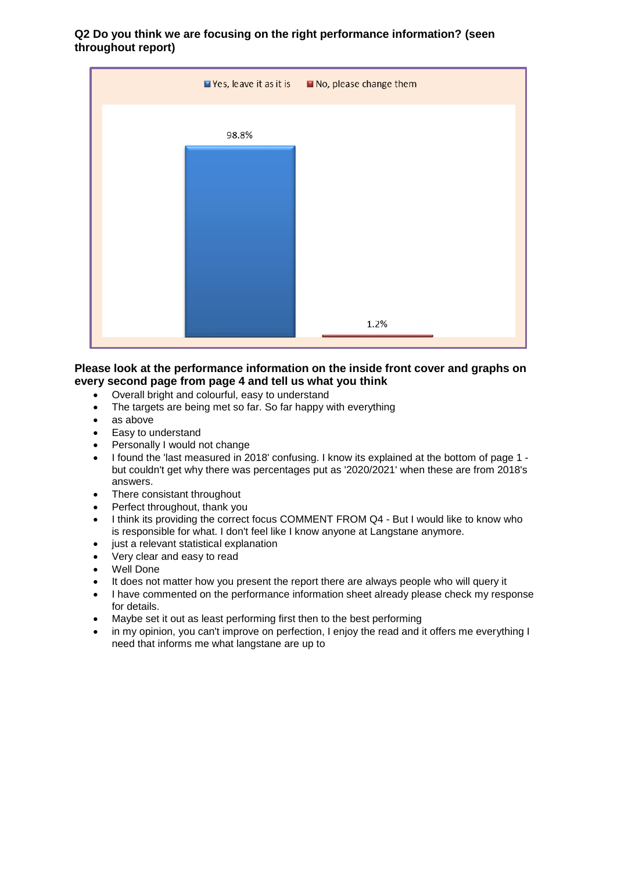**Q2 Do you think we are focusing on the right performance information? (seen throughout report)**

|       | Yes, leave it as it is No, please change them |
|-------|-----------------------------------------------|
| 98.8% |                                               |
|       |                                               |
|       |                                               |
|       |                                               |
|       |                                               |
|       | 1.2%                                          |

## **Please look at the performance information on the inside front cover and graphs on every second page from page 4 and tell us what you think**

- Overall bright and colourful, easy to understand
- The targets are being met so far. So far happy with everything
- as above
- Easy to understand
- Personally I would not change
- I found the 'last measured in 2018' confusing. I know its explained at the bottom of page 1 but couldn't get why there was percentages put as '2020/2021' when these are from 2018's answers.
- There consistant throughout
- Perfect throughout, thank you
- I think its providing the correct focus COMMENT FROM Q4 But I would like to know who is responsible for what. I don't feel like I know anyone at Langstane anymore.
- just a relevant statistical explanation
- Very clear and easy to read
- Well Done
- It does not matter how you present the report there are always people who will query it
- I have commented on the performance information sheet already please check my response for details.
- Maybe set it out as least performing first then to the best performing
- in my opinion, you can't improve on perfection, I enjoy the read and it offers me everything I need that informs me what langstane are up to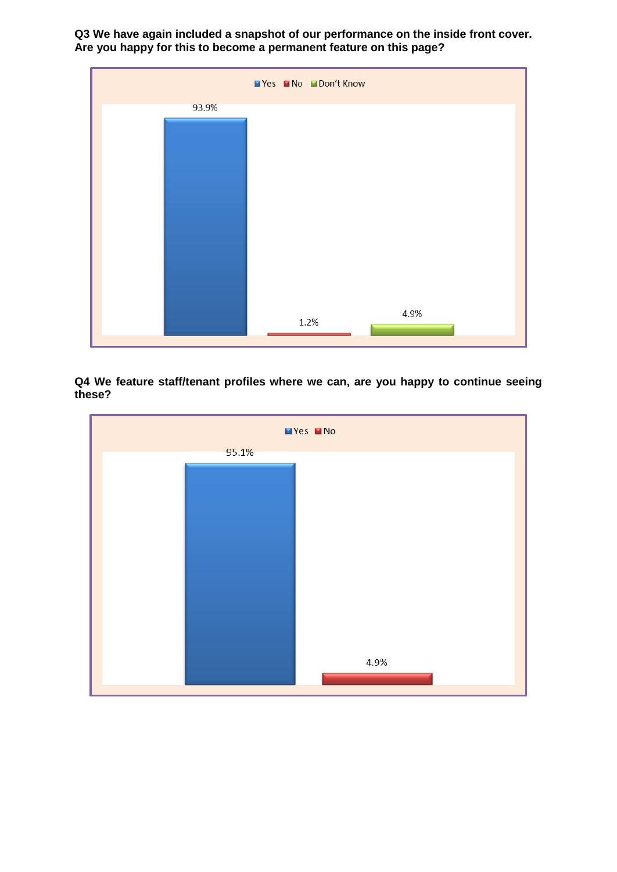**Q3 We have again included a snapshot of our performance on the inside front cover. Are you happy for this to become a permanent feature on this page?**



**Q4 We feature staff/tenant profiles where we can, are you happy to continue seeing these?**

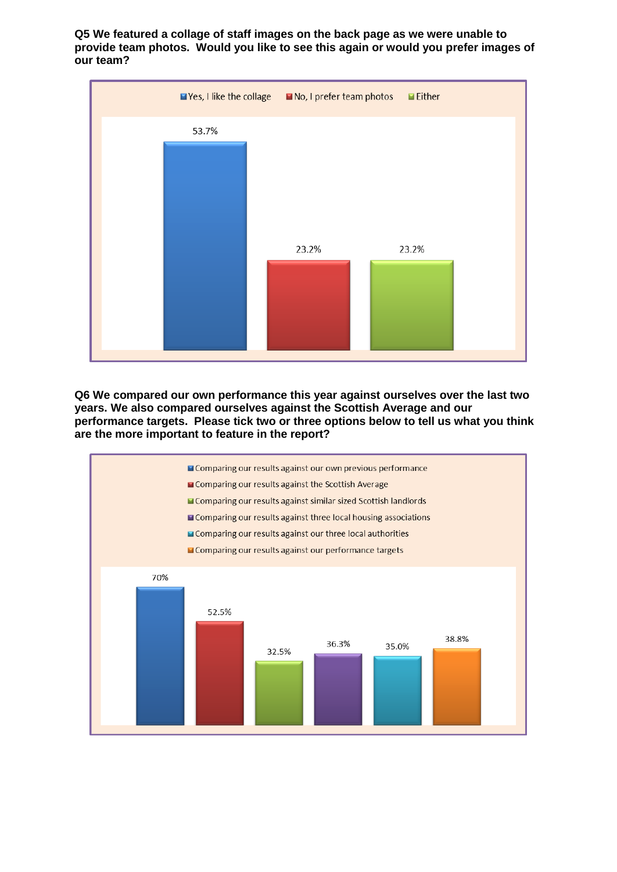**Q5 We featured a collage of staff images on the back page as we were unable to provide team photos. Would you like to see this again or would you prefer images of our team?**



**Q6 We compared our own performance this year against ourselves over the last two years. We also compared ourselves against the Scottish Average and our performance targets. Please tick two or three options below to tell us what you think are the more important to feature in the report?**